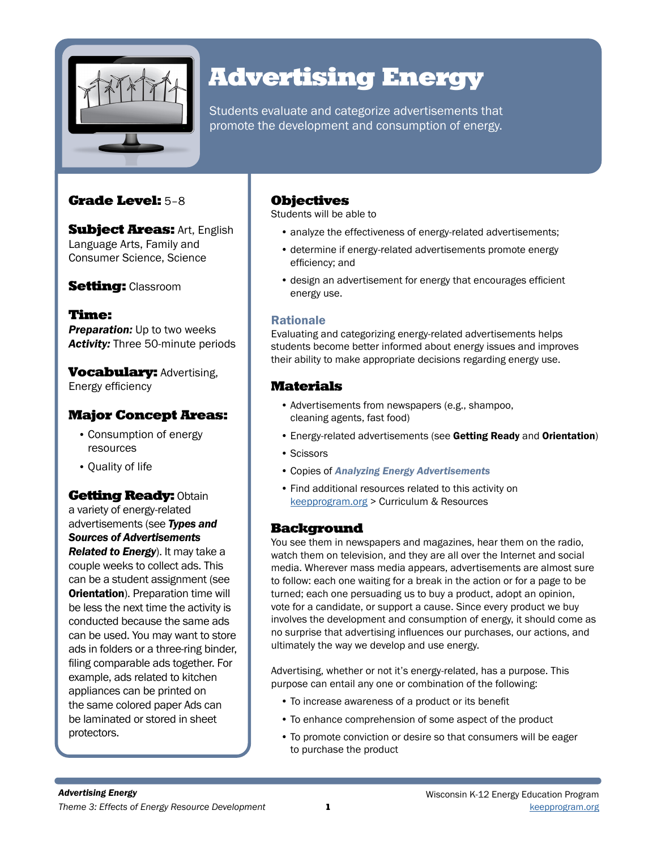

# Advertising Energy

Students evaluate and categorize advertisements that promote the development and consumption of energy.

## Grade Level: 5–8

**Subject Areas: Art, English** Language Arts, Family and Consumer Science, Science

## **Setting: Classroom**

Time: **Preparation:** Up to two weeks *Activity:* Three 50-minute periods

**Vocabulary: Advertising,** Energy efficiency

## Major Concept Areas:

- Consumption of energy resources
- Quality of life

**Getting Ready: Obtain** a variety of energy-related advertisements (see *Types and Sources of Advertisements Related to Energy*). It may take a couple weeks to collect ads. This can be a student assignment (see **Orientation**). Preparation time will be less the next time the activity is conducted because the same ads can be used. You may want to store ads in folders or a three-ring binder, filing comparable ads together. For example, ads related to kitchen appliances can be printed on the same colored paper Ads can be laminated or stored in sheet protectors.

## Objectives

Students will be able to

- analyze the effectiveness of energy-related advertisements;
- determine if energy-related advertisements promote energy efficiency; and
- design an advertisement for energy that encourages efficient energy use.

### Rationale

Evaluating and categorizing energy-related advertisements helps students become better informed about energy issues and improves their ability to make appropriate decisions regarding energy use.

## Materials

- Advertisements from newspapers (e.g., shampoo, cleaning agents, fast food)
- Energy-related advertisements (see Getting Ready and Orientation)
- Scissors
- Copies of *Analyzing Energy Advertisements*
- Find additional resources related to this activity on keepprogram.org > Curriculum & Resources

### **Background**

You see them in newspapers and magazines, hear them on the radio, watch them on television, and they are all over the Internet and social media. Wherever mass media appears, advertisements are almost sure to follow: each one waiting for a break in the action or for a page to be turned; each one persuading us to buy a product, adopt an opinion, vote for a candidate, or support a cause. Since every product we buy involves the development and consumption of energy, it should come as no surprise that advertising influences our purchases, our actions, and ultimately the way we develop and use energy.

Advertising, whether or not it's energy-related, has a purpose. This purpose can entail any one or combination of the following:

- To increase awareness of a product or its benefit
- To enhance comprehension of some aspect of the product
- To promote conviction or desire so that consumers will be eager to purchase the product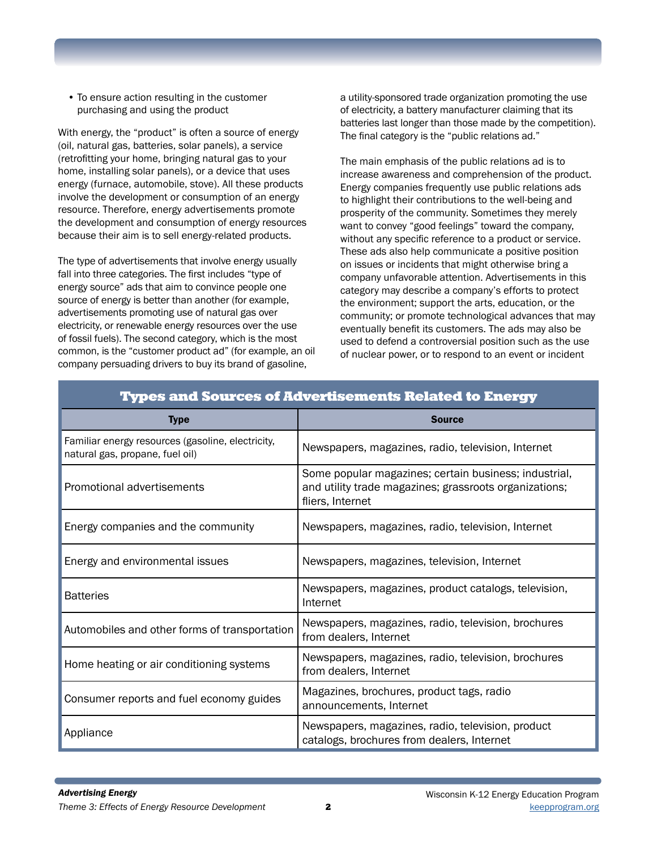• To ensure action resulting in the customer purchasing and using the product

With energy, the "product" is often a source of energy (oil, natural gas, batteries, solar panels), a service (retrofitting your home, bringing natural gas to your home, installing solar panels), or a device that uses energy (furnace, automobile, stove). All these products involve the development or consumption of an energy resource. Therefore, energy advertisements promote the development and consumption of energy resources because their aim is to sell energy-related products.

The type of advertisements that involve energy usually fall into three categories. The first includes "type of energy source" ads that aim to convince people one source of energy is better than another (for example, advertisements promoting use of natural gas over electricity, or renewable energy resources over the use of fossil fuels). The second category, which is the most common, is the "customer product ad" (for example, an oil company persuading drivers to buy its brand of gasoline,

a utility-sponsored trade organization promoting the use of electricity, a battery manufacturer claiming that its batteries last longer than those made by the competition). The final category is the "public relations ad."

The main emphasis of the public relations ad is to increase awareness and comprehension of the product. Energy companies frequently use public relations ads to highlight their contributions to the well-being and prosperity of the community. Sometimes they merely want to convey "good feelings" toward the company, without any specific reference to a product or service. These ads also help communicate a positive position on issues or incidents that might otherwise bring a company unfavorable attention. Advertisements in this category may describe a company's efforts to protect the environment; support the arts, education, or the community; or promote technological advances that may eventually benefit its customers. The ads may also be used to defend a controversial position such as the use of nuclear power, or to respond to an event or incident

| <u>i ypes and sources of Advertisements related to Energy</u>                        |                                                                                                                                     |
|--------------------------------------------------------------------------------------|-------------------------------------------------------------------------------------------------------------------------------------|
| <b>Type</b>                                                                          | <b>Source</b>                                                                                                                       |
| Familiar energy resources (gasoline, electricity,<br>natural gas, propane, fuel oil) | Newspapers, magazines, radio, television, Internet                                                                                  |
| Promotional advertisements                                                           | Some popular magazines; certain business; industrial,<br>and utility trade magazines; grassroots organizations;<br>fliers, Internet |
| Energy companies and the community                                                   | Newspapers, magazines, radio, television, Internet                                                                                  |
| Energy and environmental issues                                                      | Newspapers, magazines, television, Internet                                                                                         |
| <b>Batteries</b>                                                                     | Newspapers, magazines, product catalogs, television,<br>Internet                                                                    |
| Automobiles and other forms of transportation                                        | Newspapers, magazines, radio, television, brochures<br>from dealers, Internet                                                       |
| Home heating or air conditioning systems                                             | Newspapers, magazines, radio, television, brochures<br>from dealers, Internet                                                       |
| Consumer reports and fuel economy guides                                             | Magazines, brochures, product tags, radio<br>announcements, Internet                                                                |
| Appliance                                                                            | Newspapers, magazines, radio, television, product<br>catalogs, brochures from dealers, Internet                                     |

## Types and Sources of Advertisements Related to Energy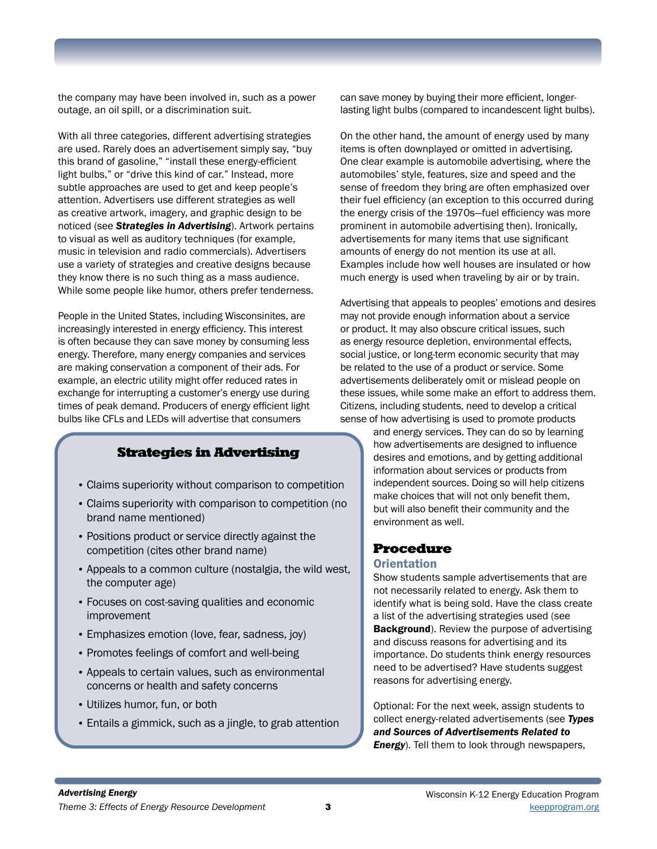the company may have been involved in, such as a power outage, an oil spill, or a discrimination suit.

With all three categories, different advertising strategies are used. Rarely does an advertisement simply say, "buy this brand of gasoline," "install these energy-efficient light bulbs," or "drive this kind of car." Instead, more subtle approaches are used to get and keep people's attention. Advertisers use different strategies as well as creative artwork, imagery, and graphic design to be noticed (see *Strategies in Advertising*). Artwork pertains to visual as well as auditory techniques (for example, music in television and radio commercials). Advertisers use a variety of strategies and creative designs because they know there is no such thing as a mass audience. While some people like humor, others prefer tenderness.

People in the United States, including Wisconsinites, are increasingly interested in energy efficiency. This interest is often because they can save money by consuming less energy. Therefore, many energy companies and services are making conservation a component of their ads. For example, an electric utility might offer reduced rates in exchange for interrupting a customer's energy use during times of peak demand. Producers of energy efficient light bulbs like CFLs and LEDs will advertise that consumers

### Strategies in Advertising

- Claims superiority without comparison to competition
- Claims superiority with comparison to competition (no brand name mentioned)
- Positions product or service directly against the competition (cites other brand name)
- Appeals to a common culture (nostalgia, the wild west, the computer age)
- Focuses on cost-saving qualities and economic improvement
- Emphasizes emotion (love, fear, sadness, joy)
- Promotes feelings of comfort and well-being
- Appeals to certain values, such as environmental concerns or health and safety concerns
- Utilizes humor, fun, or both
- Entails a gimmick, such as a jingle, to grab attention

can save money by buying their more efficient, longerlasting light bulbs (compared to incandescent light bulbs).

On the other hand, the amount of energy used by many items is often downplayed or omitted in advertising. One clear example is automobile advertising, where the automobiles' style, features, size and speed and the sense of freedom they bring are often emphasized over their fuel efficiency (an exception to this occurred during the energy crisis of the 1970s—fuel efficiency was more prominent in automobile advertising then). Ironically, advertisements for many items that use significant amounts of energy do not mention its use at all. Examples include how well houses are insulated or how much energy is used when traveling by air or by train.

Advertising that appeals to peoples' emotions and desires may not provide enough information about a service or product. It may also obscure critical issues, such as energy resource depletion, environmental effects, social justice, or long-term economic security that may be related to the use of a product or service. Some advertisements deliberately omit or mislead people on these issues, while some make an effort to address them. Citizens, including students, need to develop a critical sense of how advertising is used to promote products

and energy services. They can do so by learning how advertisements are designed to influence desires and emotions, and by getting additional information about services or products from independent sources. Doing so will help citizens make choices that will not only benefit them, but will also benefit their community and the environment as well.

## Procedure

#### **Orientation**

Show students sample advertisements that are not necessarily related to energy. Ask them to identify what is being sold. Have the class create a list of the advertising strategies used (see **Background**). Review the purpose of advertising and discuss reasons for advertising and its importance. Do students think energy resources need to be advertised? Have students suggest reasons for advertising energy.

Optional: For the next week, assign students to collect energy-related advertisements (see *Types and Sources of Advertisements Related to Energy*). Tell them to look through newspapers,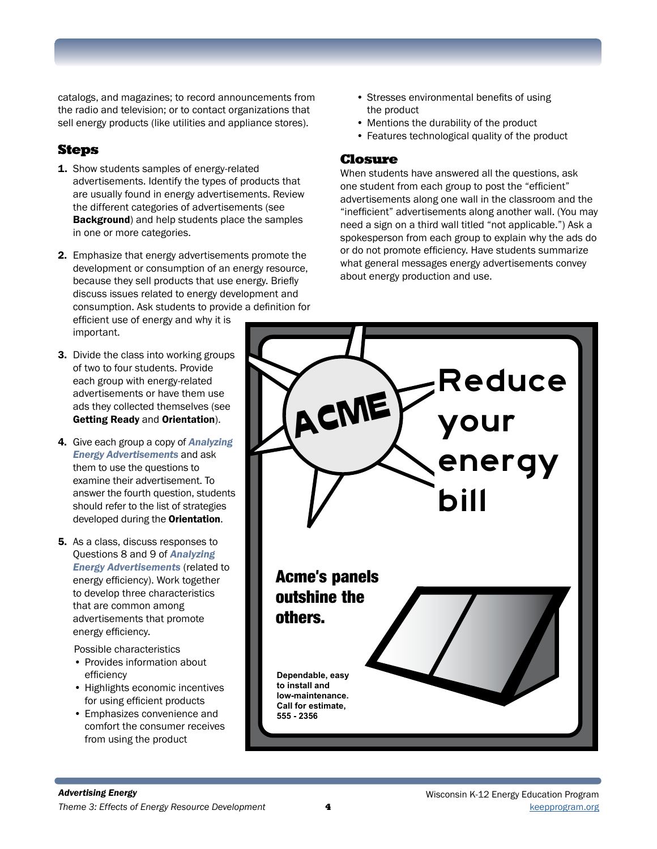catalogs, and magazines; to record announcements from the radio and television; or to contact organizations that sell energy products (like utilities and appliance stores).

## Steps

- 1. Show students samples of energy-related advertisements. Identify the types of products that are usually found in energy advertisements. Review the different categories of advertisements (see Background) and help students place the samples in one or more categories.
- 2. Emphasize that energy advertisements promote the development or consumption of an energy resource, because they sell products that use energy. Briefly discuss issues related to energy development and consumption. Ask students to provide a definition for efficient use of energy and why it is

important.

- 3. Divide the class into working groups of two to four students. Provide each group with energy-related advertisements or have them use ads they collected themselves (see Getting Ready and Orientation).
- 4. Give each group a copy of *Analyzing Energy Advertisements* and ask them to use the questions to examine their advertisement. To answer the fourth question, students should refer to the list of strategies developed during the **Orientation**.
- 5. As a class, discuss responses to Questions 8 and 9 of *Analyzing Energy Advertisements* (related to energy efficiency). Work together to develop three characteristics that are common among advertisements that promote energy efficiency.

Possible characteristics

- Provides information about efficiency
- Highlights economic incentives for using efficient products
- Emphasizes convenience and comfort the consumer receives from using the product
- Stresses environmental benefits of using the product
- Mentions the durability of the product
- Features technological quality of the product

#### Closure

When students have answered all the questions, ask one student from each group to post the "efficient" advertisements along one wall in the classroom and the "inefficient" advertisements along another wall. (You may need a sign on a third wall titled "not applicable.") Ask a spokesperson from each group to explain why the ads do or do not promote efficiency. Have students summarize what general messages energy advertisements convey about energy production and use.

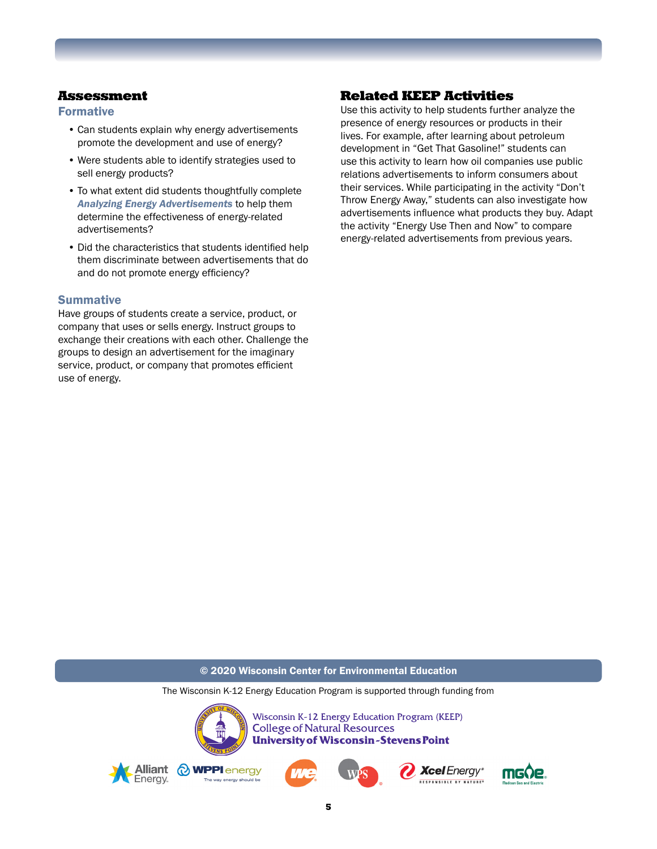#### Assessment

#### Formative

- Can students explain why energy advertisements promote the development and use of energy?
- Were students able to identify strategies used to sell energy products?
- To what extent did students thoughtfully complete *Analyzing Energy Advertisements* to help them determine the effectiveness of energy-related advertisements?
- Did the characteristics that students identified help them discriminate between advertisements that do and do not promote energy efficiency?

#### **Summative**

Have groups of students create a service, product, or company that uses or sells energy. Instruct groups to exchange their creations with each other. Challenge the groups to design an advertisement for the imaginary service, product, or company that promotes efficient use of energy.

## Related KEEP Activities

Use this activity to help students further analyze the presence of energy resources or products in their lives. For example, after learning about petroleum development in "Get That Gasoline!" students can use this activity to learn how oil companies use public relations advertisements to inform consumers about their services. While participating in the activity "Don't Throw Energy Away," students can also investigate how advertisements influence what products they buy. Adapt the activity "Energy Use Then and Now" to compare energy-related advertisements from previous years.

#### © 2020 Wisconsin Center for Environmental Education

The Wisconsin K-12 Energy Education Program is supported through funding from



Wisconsin K-12 Energy Education Program (KEEP) **College of Natural Resources University of Wisconsin-Stevens Point**